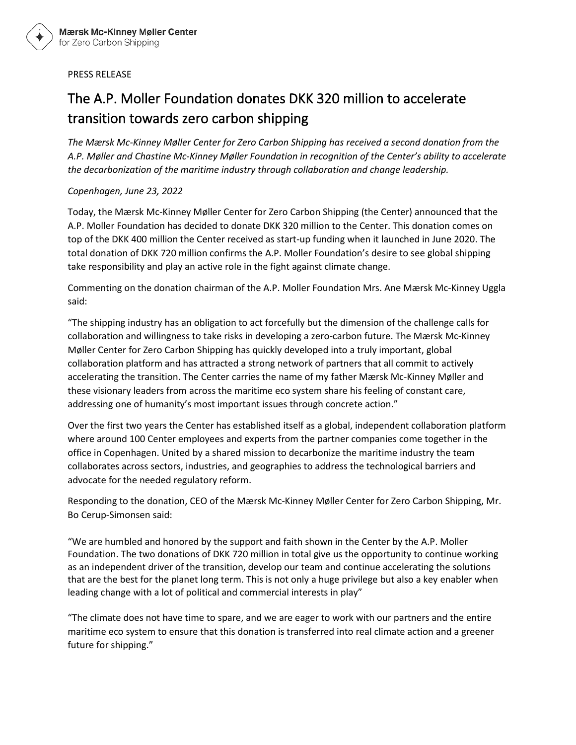## PRESS RELEASE

## The A.P. Moller Foundation donates DKK 320 million to accelerate transition towards zero carbon shipping

*The Mærsk Mc-Kinney Møller Center for Zero Carbon Shipping has received a second donation from the A.P. Møller and Chastine Mc-Kinney Møller Foundation in recognition of the Center's ability to accelerate the decarbonization of the maritime industry through collaboration and change leadership.* 

## *Copenhagen, June 23, 2022*

Today, the Mærsk Mc-Kinney Møller Center for Zero Carbon Shipping (the Center) announced that the A.P. Moller Foundation has decided to donate DKK 320 million to the Center. This donation comes on top of the DKK 400 million the Center received as start-up funding when it launched in June 2020. The total donation of DKK 720 million confirms the A.P. Moller Foundation's desire to see global shipping take responsibility and play an active role in the fight against climate change.

Commenting on the donation chairman of the A.P. Moller Foundation Mrs. Ane Mærsk Mc-Kinney Uggla said:

"The shipping industry has an obligation to act forcefully but the dimension of the challenge calls for collaboration and willingness to take risks in developing a zero-carbon future. The Mærsk Mc-Kinney Møller Center for Zero Carbon Shipping has quickly developed into a truly important, global collaboration platform and has attracted a strong network of partners that all commit to actively accelerating the transition. The Center carries the name of my father Mærsk Mc-Kinney Møller and these visionary leaders from across the maritime eco system share his feeling of constant care, addressing one of humanity's most important issues through concrete action."

Over the first two years the Center has established itself as a global, independent collaboration platform where around 100 Center employees and experts from the partner companies come together in the office in Copenhagen. United by a shared mission to decarbonize the maritime industry the team collaborates across sectors, industries, and geographies to address the technological barriers and advocate for the needed regulatory reform.

Responding to the donation, CEO of the Mærsk Mc-Kinney Møller Center for Zero Carbon Shipping, Mr. Bo Cerup-Simonsen said:

"We are humbled and honored by the support and faith shown in the Center by the A.P. Moller Foundation. The two donations of DKK 720 million in total give us the opportunity to continue working as an independent driver of the transition, develop our team and continue accelerating the solutions that are the best for the planet long term. This is not only a huge privilege but also a key enabler when leading change with a lot of political and commercial interests in play"

"The climate does not have time to spare, and we are eager to work with our partners and the entire maritime eco system to ensure that this donation is transferred into real climate action and a greener future for shipping."